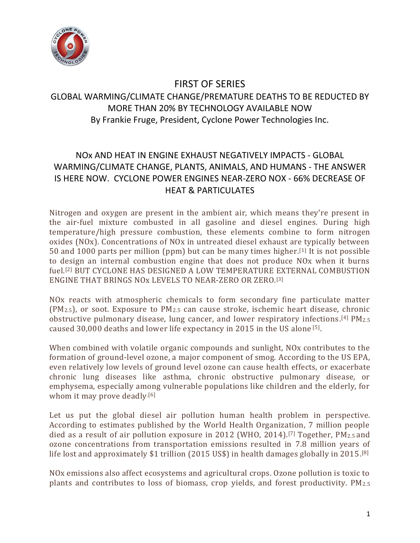

### FIRST OF SERIES

# GLOBAL WARMING/CLIMATE CHANGE/PREMATURE DEATHS TO BE REDUCTED BY MORE THAN 20% BY TECHNOLOGY AVAILABLE NOW By Frankie Fruge, President, Cyclone Power Technologies Inc.

## NOx AND HEAT IN ENGINE EXHAUST NEGATIVELY IMPACTS - GLOBAL WARMING/CLIMATE CHANGE, PLANTS, ANIMALS, AND HUMANS - THE ANSWER IS HERE NOW. CYCLONE POWER ENGINES NEAR-ZERO NOX - 66% DECREASE OF HEAT & PARTICULATES

Nitrogen and oxygen are present in the ambient air, which means they're present in the air-fuel mixture combusted in all gasoline and diesel engines. During high temperature/high pressure combustion, these elements combine to form nitrogen oxides (NOx). Concentrations of NOx in untreated diesel exhaust are typically between 50 and 1000 parts per million (ppm) but can be many times higher.<sup>[1]</sup> It is not possible to design an internal combustion engine that does not produce NOx when it burns fuel. [2] BUT CYCLONE HAS DESIGNED A LOW TEMPERATURE EXTERNAL COMBUSTION ENGINE THAT BRINGS NOx LEVELS TO NEAR-ZERO OR ZERO. [3]

NOx reacts with atmospheric chemicals to form secondary fine particulate matter (PM2.5), or soot. Exposure to PM2.5 can cause stroke, ischemic heart disease, chronic obstructive pulmonary disease, lung cancer, and lower respiratory infections. [4] PM2.5 caused 30,000 deaths and lower life expectancy in 2015 in the US alone [5].

When combined with volatile organic compounds and sunlight, NOx contributes to the formation of ground-level ozone, a major component of smog. According to the US EPA, even relatively low levels of ground level ozone can cause health effects, or exacerbate chronic lung diseases like asthma, chronic obstructive pulmonary disease, or emphysema, especially among vulnerable populations like children and the elderly, for whom it may prove deadly.<sup>[6]</sup>

Let us put the global diesel air pollution human health problem in perspective. According to estimates published by the World Health Organization, 7 million people died as a result of air pollution exposure in 2012 (WHO, 2014). [7] Together, PM2.5 and ozone concentrations from transportation emissions resulted in 7.8 million years of life lost and approximately \$1 trillion (2015 US\$) in health damages globally in 2015. [8]

NOx emissions also affect ecosystems and agricultural crops. Ozone pollution is toxic to plants and contributes to loss of biomass, crop yields, and forest productivity. PM2.5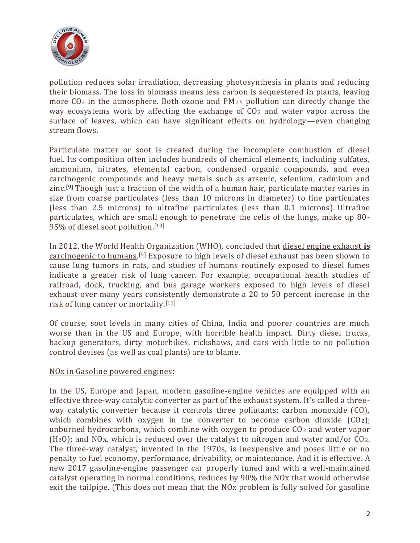

pollution reduces solar irradiation, decreasing photosynthesis in plants and reducing their biomass. The loss in biomass means less carbon is sequestered in plants, leaving more CO<sup>2</sup> in the atmosphere. Both ozone and PM2.5 pollution can directly change the way ecosystems work by affecting the exchange of  $CO<sub>2</sub>$  and water vapor across the surface of leaves, which can have significant effects on hydrology—even changing stream flows.

Particulate matter or soot is created during the incomplete combustion of diesel fuel. Its composition often includes hundreds of chemical elements, including sulfates, ammonium, nitrates, elemental carbon, condensed organic compounds, and even carcinogenic compounds and heavy metals such as arsenic, selenium, cadmium and zinc.<sup>[9]</sup> Though just a fraction of the width of a human hair, particulate matter varies in size from coarse particulates (less than 10 microns in diameter) to fine particulates (less than 2.5 microns) to ultrafine particulates (less than 0.1 microns). Ultrafine particulates, which are small enough to penetrate the cells of the lungs, make up 80- 95% of diesel soot pollution. [10]

In 2012, the World Health Organization (WHO), concluded that diesel engine exhaust **is** carcinogenic to humans. [5] Exposure to high levels of diesel exhaust has been shown to cause lung tumors in rats, and studies of humans routinely exposed to diesel fumes indicate a greater risk of lung cancer. For example, occupational health studies of railroad, dock, trucking, and bus garage workers exposed to high levels of diesel exhaust over many years consistently demonstrate a 20 to 50 percent increase in the risk of lung cancer or mortality. [11]

Of course, soot levels in many cities of China, India and poorer countries are much worse than in the US and Europe, with horrible health impact. Dirty diesel trucks, backup generators, dirty motorbikes, rickshaws, and cars with little to no pollution control devises (as well as coal plants) are to blame.

#### NOx in Gasoline powered engines:

In the US, Europe and Japan, modern gasoline-engine vehicles are equipped with an effective three-way catalytic converter as part of the exhaust system. It's called a threeway catalytic converter because it controls three pollutants: carbon monoxide (CO), which combines with oxygen in the converter to become carbon dioxide  $(CO<sub>2</sub>)$ ; unburned hydrocarbons, which combine with oxygen to produce CO<sup>2</sup> and water vapor  $(H<sub>2</sub>O)$ ; and NOx, which is reduced over the catalyst to nitrogen and water and/or CO<sub>2</sub>. The three-way catalyst, invented in the 1970s, is inexpensive and poses little or no penalty to fuel economy, performance, drivability, or maintenance. And it is effective. A new 2017 gasoline-engine passenger car properly tuned and with a well-maintained catalyst operating in normal conditions, reduces by 90% the NOx that would otherwise exit the tailpipe. (This does not mean that the NOx problem is fully solved for gasoline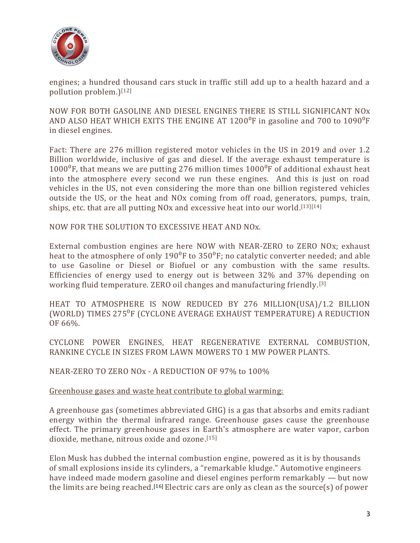

engines; a hundred thousand cars stuck in traffic still add up to a health hazard and a pollution problem.)[12]

NOW FOR BOTH GASOLINE AND DIESEL ENGINES THERE IS STILL SIGNIFICANT NOx AND ALSO HEAT WHICH EXITS THE ENGINE AT  $1200^{\circ}$ F in gasoline and 700 to  $1090^{\circ}$ F in diesel engines.

Fact: There are 276 million registered motor vehicles in the US in 2019 and over 1.2 Billion worldwide, inclusive of gas and diesel. If the average exhaust temperature is  $1000^{\circ}$ F, that means we are putting 276 million times  $1000^{\circ}$ F of additional exhaust heat into the atmosphere every second we run these engines. And this is just on road vehicles in the US, not even considering the more than one billion registered vehicles outside the US, or the heat and NOx coming from off road, generators, pumps, train, ships, etc. that are all putting NOx and excessive heat into our world.<sup>[13][14]</sup>

NOW FOR THE SOLUTION TO EXCESSIVE HEAT AND NOx.

External combustion engines are here NOW with NEAR-ZERO to ZERO NOx; exhaust heat to the atmosphere of only  $190^{\circ}$ F to  $350^{\circ}$ F; no catalytic converter needed; and able to use Gasoline or Diesel or Biofuel or any combustion with the same results. Efficiencies of energy used to energy out is between 32% and 37% depending on working fluid temperature. ZERO oil changes and manufacturing friendly. [3]

HEAT TO ATMOSPHERE IS NOW REDUCED BY 276 MILLION(USA)/1.2 BILLION (WORLD) TIMES 275<sup>°</sup>F (CYCLONE AVERAGE EXHAUST TEMPERATURE) A REDUCTION OF 66%.

CYCLONE POWER ENGINES, HEAT REGENERATIVE EXTERNAL COMBUSTION, RANKINE CYCLE IN SIZES FROM LAWN MOWERS TO 1 MW POWER PLANTS.

NEAR-ZERO TO ZERO NOx - A REDUCTION OF 97% to 100%

#### Greenhouse gases and waste heat contribute to global warming:

A greenhouse gas (sometimes abbreviated GHG) is a gas that absorbs and emits radiant energy within the thermal infrared range. Greenhouse gases cause the greenhouse effect. The primary greenhouse gases in Earth's atmosphere are water vapor, carbon dioxide, methane, nitrous oxide and ozone. [15]

Elon Musk has dubbed the internal combustion engine, powered as it is by thousands of small explosions inside its cylinders, a "remarkable kludge." Automotive engineers have indeed made modern gasoline and diesel engines perform remarkably — but now the limits are being reached.<sup>[16]</sup> Electric cars are only as clean as the source(s) of power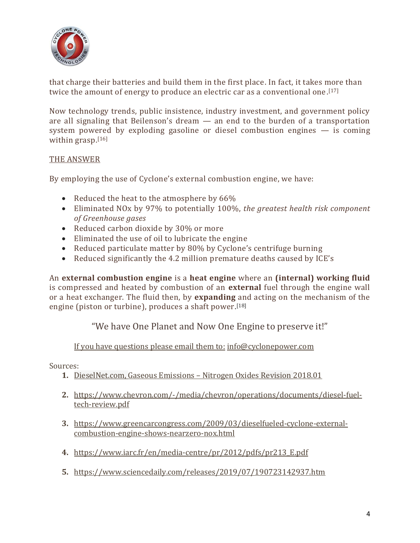

that charge their batteries and build them in the first place. In fact, it takes more than twice the amount of energy to produce an electric car as a conventional one. [17]

Now technology trends, public insistence, industry investment, and government policy are all signaling that Beilenson's dream — an end to the burden of a transportation system powered by exploding gasoline or diesel combustion engines — is coming within grasp. [16]

### THE ANSWER

By employing the use of Cyclone's external combustion engine, we have:

- Reduced the heat to the atmosphere by 66%
- Eliminated NOx by 97% to potentially 100%, *the greatest health risk component of Greenhouse gases*
- Reduced carbon dioxide by 30% or more
- Eliminated the use of oil to lubricate the engine
- Reduced particulate matter by 80% by Cyclone's centrifuge burning
- Reduced significantly the 4.2 million premature deaths caused by ICE's

An **external combustion engine** is a **heat engine** where an **(internal) working fluid** is compressed and heated by combustion of an **external** fuel through the engine wall or a heat exchanger. The fluid then, by **expanding** and acting on the mechanism of the engine (piston or turbine), produces a shaft power.<sup>[18]</sup>

"We have One Planet and Now One Engine to preserve it!"

If you have questions please email them to: [info@cyclonepower.com](mailto:info@cyclonepower.com)

Sources:

- **1.** DieselNet.com, Gaseous Emissions Nitrogen Oxides Revision 2018.01
- **2.** https://www.chevron.com/-/media/chevron/operations/documents/diesel-fueltech-review.pdf
- **3.** [https://www.greencarcongress.com/2009/03/dieselfueled-cyclone-external](https://www.greencarcongress.com/2009/03/dieselfueled-cyclone-external-combustion-engine-shows-nearzero-nox.html)[combustion-engine-shows-nearzero-nox.html](https://www.greencarcongress.com/2009/03/dieselfueled-cyclone-external-combustion-engine-shows-nearzero-nox.html)
- **4.** [https://www.iarc.fr/en/media-centre/pr/2012/pdfs/pr213\\_E.pdf](https://www.iarc.fr/en/media-centre/pr/2012/pdfs/pr213_E.pdf)
- **5.** https://www.sciencedaily.com/releases/2019/07/190723142937.htm